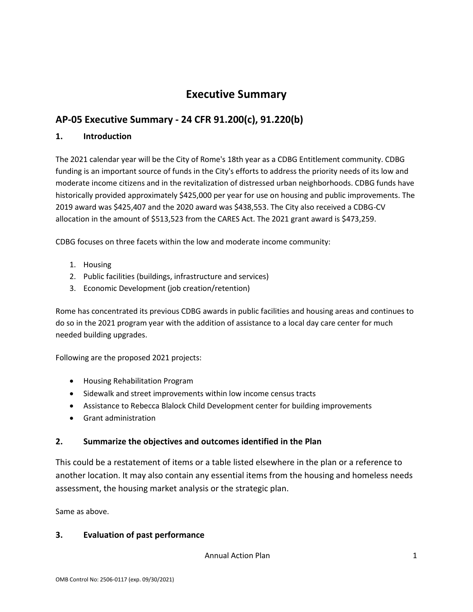## **Executive Summary**

## **AP-05 Executive Summary - 24 CFR 91.200(c), 91.220(b)**

#### **1. Introduction**

The 2021 calendar year will be the City of Rome's 18th year as a CDBG Entitlement community. CDBG funding is an important source of funds in the City's efforts to address the priority needs of its low and moderate income citizens and in the revitalization of distressed urban neighborhoods. CDBG funds have historically provided approximately \$425,000 per year for use on housing and public improvements. The 2019 award was \$425,407 and the 2020 award was \$438,553. The City also received a CDBG-CV allocation in the amount of \$513,523 from the CARES Act. The 2021 grant award is \$473,259.

CDBG focuses on three facets within the low and moderate income community:

- 1. Housing
- 2. Public facilities (buildings, infrastructure and services)
- 3. Economic Development (job creation/retention)

Rome has concentrated its previous CDBG awards in public facilities and housing areas and continues to do so in the 2021 program year with the addition of assistance to a local day care center for much needed building upgrades.

Following are the proposed 2021 projects:

- Housing Rehabilitation Program
- Sidewalk and street improvements within low income census tracts
- Assistance to Rebecca Blalock Child Development center for building improvements
- Grant administration

#### **2. Summarize the objectives and outcomes identified in the Plan**

This could be a restatement of items or a table listed elsewhere in the plan or a reference to another location. It may also contain any essential items from the housing and homeless needs assessment, the housing market analysis or the strategic plan.

Same as above.

#### **3. Evaluation of past performance**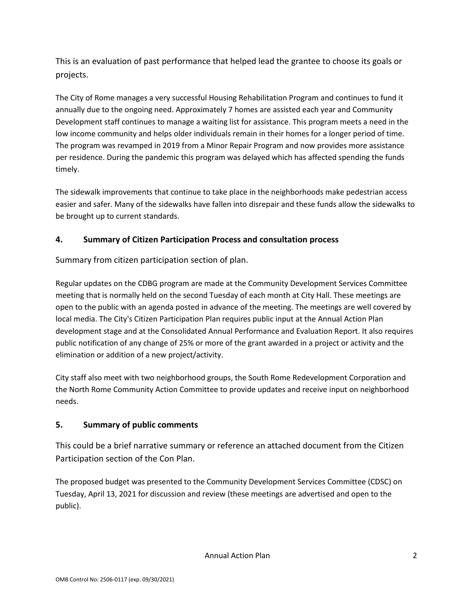This is an evaluation of past performance that helped lead the grantee to choose its goals or projects.

The City of Rome manages a very successful Housing Rehabilitation Program and continues to fund it annually due to the ongoing need. Approximately 7 homes are assisted each year and Community Development staff continues to manage a waiting list for assistance. This program meets a need in the low income community and helps older individuals remain in their homes for a longer period of time. The program was revamped in 2019 from a Minor Repair Program and now provides more assistance per residence. During the pandemic this program was delayed which has affected spending the funds timely.

The sidewalk improvements that continue to take place in the neighborhoods make pedestrian access easier and safer. Many of the sidewalks have fallen into disrepair and these funds allow the sidewalks to be brought up to current standards.

#### **4. Summary of Citizen Participation Process and consultation process**

Summary from citizen participation section of plan.

Regular updates on the CDBG program are made at the Community Development Services Committee meeting that is normally held on the second Tuesday of each month at City Hall. These meetings are open to the public with an agenda posted in advance of the meeting. The meetings are well covered by local media. The City's Citizen Participation Plan requires public input at the Annual Action Plan development stage and at the Consolidated Annual Performance and Evaluation Report. It also requires public notification of any change of 25% or more of the grant awarded in a project or activity and the elimination or addition of a new project/activity.

City staff also meet with two neighborhood groups, the South Rome Redevelopment Corporation and the North Rome Community Action Committee to provide updates and receive input on neighborhood needs.

### **5. Summary of public comments**

This could be a brief narrative summary or reference an attached document from the Citizen Participation section of the Con Plan.

The proposed budget was presented to the Community Development Services Committee (CDSC) on Tuesday, April 13, 2021 for discussion and review (these meetings are advertised and open to the public).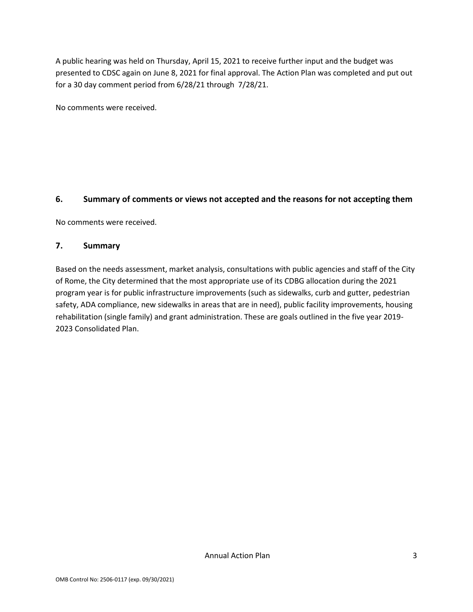A public hearing was held on Thursday, April 15, 2021 to receive further input and the budget was presented to CDSC again on June 8, 2021 for final approval. The Action Plan was completed and put out for a 30 day comment period from 6/28/21 through 7/28/21.

No comments were received.

#### **6. Summary of comments or views not accepted and the reasons for not accepting them**

No comments were received.

#### **7. Summary**

Based on the needs assessment, market analysis, consultations with public agencies and staff of the City of Rome, the City determined that the most appropriate use of its CDBG allocation during the 2021 program year is for public infrastructure improvements (such as sidewalks, curb and gutter, pedestrian safety, ADA compliance, new sidewalks in areas that are in need), public facility improvements, housing rehabilitation (single family) and grant administration. These are goals outlined in the five year 2019- 2023 Consolidated Plan.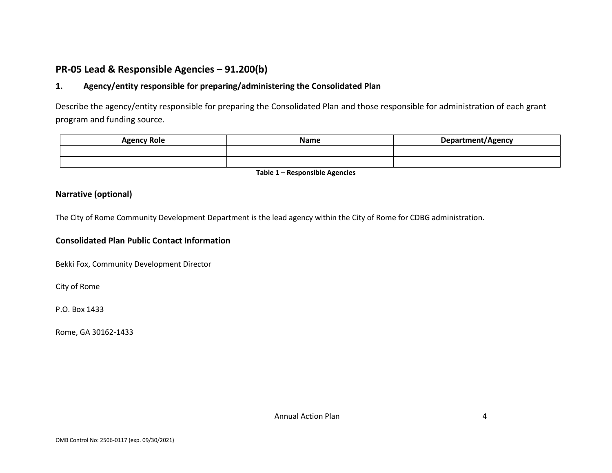### **PR-05 Lead & Responsible Agencies – 91.200(b)**

#### **1. Agency/entity responsible for preparing/administering the Consolidated Plan**

Describe the agency/entity responsible for preparing the Consolidated Plan and those responsible for administration of each grant program and funding source.

| <b>Agency Role</b> | <b>Name</b> | Department/Agency |
|--------------------|-------------|-------------------|
|                    |             |                   |
|                    |             |                   |

**Table 1 – Responsible Agencies**

#### **Narrative (optional)**

The City of Rome Community Development Department is the lead agency within the City of Rome for CDBG administration.

#### **Consolidated Plan Public Contact Information**

Bekki Fox, Community Development Director

City of Rome

P.O. Box 1433

Rome, GA 30162-1433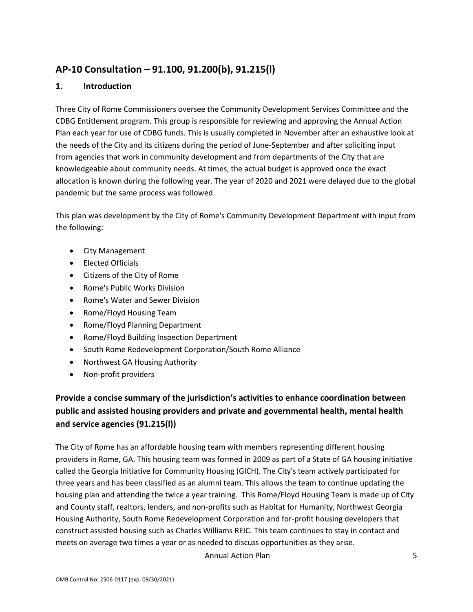## **AP-10 Consultation – 91.100, 91.200(b), 91.215(l)**

#### **1. Introduction**

Three City of Rome Commissioners oversee the Community Development Services Committee and the CDBG Entitlement program. This group is responsible for reviewing and approving the Annual Action Plan each year for use of CDBG funds. This is usually completed in November after an exhaustive look at the needs of the City and its citizens during the period of June-September and after soliciting input from agencies that work in community development and from departments of the City that are knowledgeable about community needs. At times, the actual budget is approved once the exact allocation is known during the following year. The year of 2020 and 2021 were delayed due to the global pandemic but the same process was followed.

This plan was development by the City of Rome's Community Development Department with input from the following:

- City Management
- Elected Officials
- Citizens of the City of Rome
- Rome's Public Works Division
- Rome's Water and Sewer Division
- Rome/Floyd Housing Team
- Rome/Floyd Planning Department
- Rome/Floyd Building Inspection Department
- South Rome Redevelopment Corporation/South Rome Alliance
- Northwest GA Housing Authority
- Non-profit providers

## **Provide a concise summary of the jurisdiction's activities to enhance coordination between public and assisted housing providers and private and governmental health, mental health and service agencies (91.215(l))**

The City of Rome has an affordable housing team with members representing different housing providers in Rome, GA. This housing team was formed in 2009 as part of a State of GA housing initiative called the Georgia Initiative for Community Housing (GICH). The City's team actively participated for three years and has been classified as an alumni team. This allows the team to continue updating the housing plan and attending the twice a year training. This Rome/Floyd Housing Team is made up of City and County staff, realtors, lenders, and non-profits such as Habitat for Humanity, Northwest Georgia Housing Authority, South Rome Redevelopment Corporation and for-profit housing developers that construct assisted housing such as Charles Williams REIC. This team continues to stay in contact and meets on average two times a year or as needed to discuss opportunities as they arise.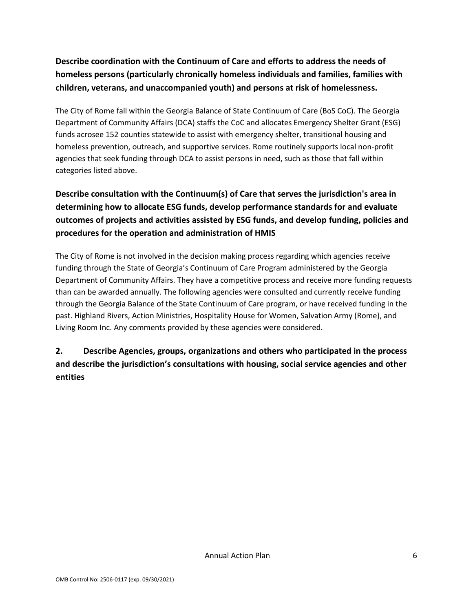## **Describe coordination with the Continuum of Care and efforts to address the needs of homeless persons (particularly chronically homeless individuals and families, families with children, veterans, and unaccompanied youth) and persons at risk of homelessness.**

The City of Rome fall within the Georgia Balance of State Continuum of Care (BoS CoC). The Georgia Department of Community Affairs (DCA) staffs the CoC and allocates Emergency Shelter Grant (ESG) funds acrosee 152 counties statewide to assist with emergency shelter, transitional housing and homeless prevention, outreach, and supportive services. Rome routinely supports local non-profit agencies that seek funding through DCA to assist persons in need, such as those that fall within categories listed above.

## **Describe consultation with the Continuum(s) of Care that serves the jurisdiction's area in determining how to allocate ESG funds, develop performance standards for and evaluate outcomes of projects and activities assisted by ESG funds, and develop funding, policies and procedures for the operation and administration of HMIS**

The City of Rome is not involved in the decision making process regarding which agencies receive funding through the State of Georgia's Continuum of Care Program administered by the Georgia Department of Community Affairs. They have a competitive process and receive more funding requests than can be awarded annually. The following agencies were consulted and currently receive funding through the Georgia Balance of the State Continuum of Care program, or have received funding in the past. Highland Rivers, Action Ministries, Hospitality House for Women, Salvation Army (Rome), and Living Room Inc. Any comments provided by these agencies were considered.

## **2. Describe Agencies, groups, organizations and others who participated in the process and describe the jurisdiction's consultations with housing, social service agencies and other entities**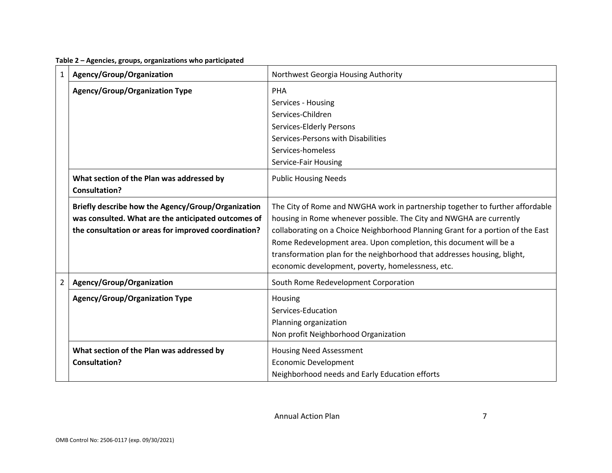| 1 | Agency/Group/Organization                            | Northwest Georgia Housing Authority                                             |  |  |
|---|------------------------------------------------------|---------------------------------------------------------------------------------|--|--|
|   | <b>Agency/Group/Organization Type</b>                | <b>PHA</b>                                                                      |  |  |
|   |                                                      | Services - Housing                                                              |  |  |
|   |                                                      | Services-Children                                                               |  |  |
|   |                                                      | Services-Elderly Persons                                                        |  |  |
|   |                                                      | Services-Persons with Disabilities                                              |  |  |
|   |                                                      | Services-homeless                                                               |  |  |
|   |                                                      | Service-Fair Housing                                                            |  |  |
|   | What section of the Plan was addressed by            | <b>Public Housing Needs</b>                                                     |  |  |
|   | <b>Consultation?</b>                                 |                                                                                 |  |  |
|   | Briefly describe how the Agency/Group/Organization   | The City of Rome and NWGHA work in partnership together to further affordable   |  |  |
|   | was consulted. What are the anticipated outcomes of  | housing in Rome whenever possible. The City and NWGHA are currently             |  |  |
|   | the consultation or areas for improved coordination? | collaborating on a Choice Neighborhood Planning Grant for a portion of the East |  |  |
|   |                                                      | Rome Redevelopment area. Upon completion, this document will be a               |  |  |
|   |                                                      | transformation plan for the neighborhood that addresses housing, blight,        |  |  |
|   |                                                      | economic development, poverty, homelessness, etc.                               |  |  |
| 2 | Agency/Group/Organization                            | South Rome Redevelopment Corporation                                            |  |  |
|   | <b>Agency/Group/Organization Type</b>                | Housing                                                                         |  |  |
|   |                                                      | Services-Education                                                              |  |  |
|   |                                                      | Planning organization                                                           |  |  |
|   |                                                      | Non profit Neighborhood Organization                                            |  |  |
|   | What section of the Plan was addressed by            | <b>Housing Need Assessment</b>                                                  |  |  |
|   | <b>Consultation?</b>                                 | <b>Economic Development</b>                                                     |  |  |
|   |                                                      | Neighborhood needs and Early Education efforts                                  |  |  |

#### **Table 2 – Agencies, groups, organizations who participated**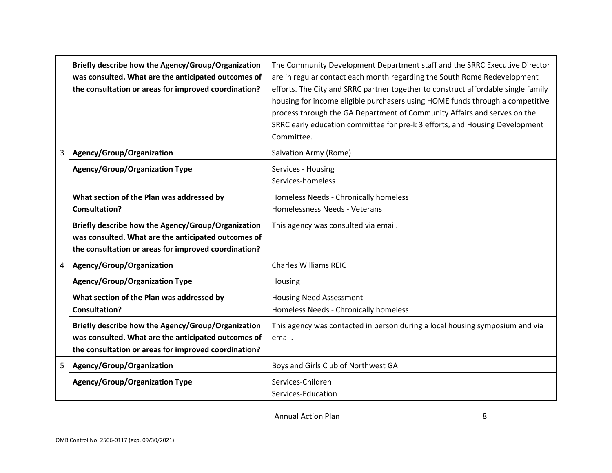|   | Briefly describe how the Agency/Group/Organization<br>was consulted. What are the anticipated outcomes of<br>the consultation or areas for improved coordination? | The Community Development Department staff and the SRRC Executive Director<br>are in regular contact each month regarding the South Rome Redevelopment<br>efforts. The City and SRRC partner together to construct affordable single family<br>housing for income eligible purchasers using HOME funds through a competitive<br>process through the GA Department of Community Affairs and serves on the<br>SRRC early education committee for pre-k 3 efforts, and Housing Development<br>Committee. |
|---|-------------------------------------------------------------------------------------------------------------------------------------------------------------------|-------------------------------------------------------------------------------------------------------------------------------------------------------------------------------------------------------------------------------------------------------------------------------------------------------------------------------------------------------------------------------------------------------------------------------------------------------------------------------------------------------|
| 3 | Agency/Group/Organization                                                                                                                                         | Salvation Army (Rome)                                                                                                                                                                                                                                                                                                                                                                                                                                                                                 |
|   | <b>Agency/Group/Organization Type</b>                                                                                                                             | Services - Housing<br>Services-homeless                                                                                                                                                                                                                                                                                                                                                                                                                                                               |
|   | What section of the Plan was addressed by<br><b>Consultation?</b>                                                                                                 | Homeless Needs - Chronically homeless<br>Homelessness Needs - Veterans                                                                                                                                                                                                                                                                                                                                                                                                                                |
|   | Briefly describe how the Agency/Group/Organization<br>was consulted. What are the anticipated outcomes of<br>the consultation or areas for improved coordination? | This agency was consulted via email.                                                                                                                                                                                                                                                                                                                                                                                                                                                                  |
| 4 | Agency/Group/Organization                                                                                                                                         | <b>Charles Williams REIC</b>                                                                                                                                                                                                                                                                                                                                                                                                                                                                          |
|   | <b>Agency/Group/Organization Type</b>                                                                                                                             | Housing                                                                                                                                                                                                                                                                                                                                                                                                                                                                                               |
|   | What section of the Plan was addressed by<br><b>Consultation?</b>                                                                                                 | <b>Housing Need Assessment</b><br>Homeless Needs - Chronically homeless                                                                                                                                                                                                                                                                                                                                                                                                                               |
|   | Briefly describe how the Agency/Group/Organization<br>was consulted. What are the anticipated outcomes of<br>the consultation or areas for improved coordination? | This agency was contacted in person during a local housing symposium and via<br>email.                                                                                                                                                                                                                                                                                                                                                                                                                |
| 5 | Agency/Group/Organization                                                                                                                                         | Boys and Girls Club of Northwest GA                                                                                                                                                                                                                                                                                                                                                                                                                                                                   |
|   | <b>Agency/Group/Organization Type</b>                                                                                                                             | Services-Children<br>Services-Education                                                                                                                                                                                                                                                                                                                                                                                                                                                               |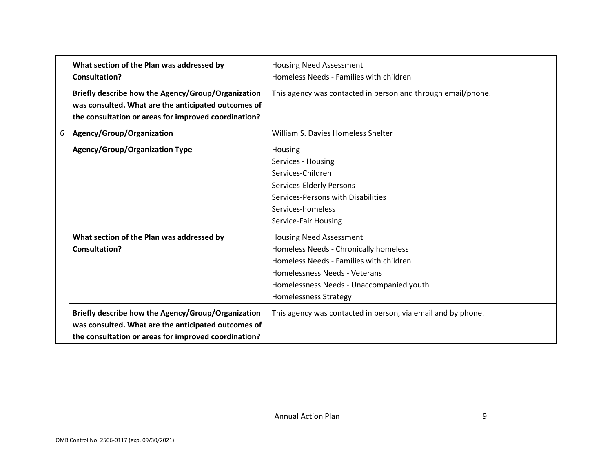|   | What section of the Plan was addressed by<br><b>Consultation?</b>                                                                                                 | <b>Housing Need Assessment</b><br>Homeless Needs - Families with children                                                                                                                                                       |
|---|-------------------------------------------------------------------------------------------------------------------------------------------------------------------|---------------------------------------------------------------------------------------------------------------------------------------------------------------------------------------------------------------------------------|
|   | Briefly describe how the Agency/Group/Organization<br>was consulted. What are the anticipated outcomes of<br>the consultation or areas for improved coordination? | This agency was contacted in person and through email/phone.                                                                                                                                                                    |
| 6 | Agency/Group/Organization                                                                                                                                         | William S. Davies Homeless Shelter                                                                                                                                                                                              |
|   | <b>Agency/Group/Organization Type</b>                                                                                                                             | Housing<br>Services - Housing<br>Services-Children<br>Services-Elderly Persons<br>Services-Persons with Disabilities<br>Services-homeless<br>Service-Fair Housing                                                               |
|   | What section of the Plan was addressed by<br><b>Consultation?</b>                                                                                                 | <b>Housing Need Assessment</b><br>Homeless Needs - Chronically homeless<br>Homeless Needs - Families with children<br>Homelessness Needs - Veterans<br>Homelessness Needs - Unaccompanied youth<br><b>Homelessness Strategy</b> |
|   | Briefly describe how the Agency/Group/Organization<br>was consulted. What are the anticipated outcomes of<br>the consultation or areas for improved coordination? | This agency was contacted in person, via email and by phone.                                                                                                                                                                    |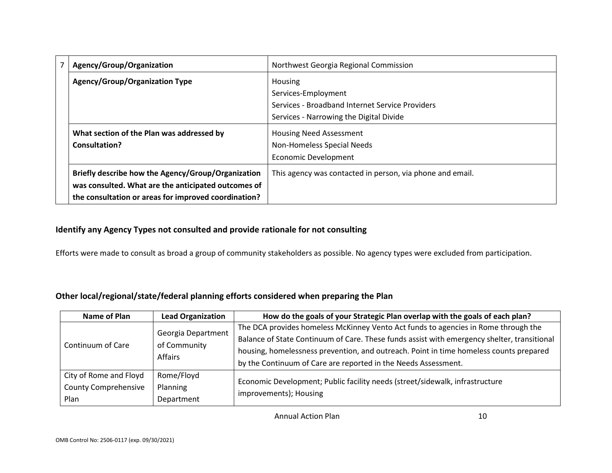| Agency/Group/Organization                            | Northwest Georgia Regional Commission                     |  |  |
|------------------------------------------------------|-----------------------------------------------------------|--|--|
| <b>Agency/Group/Organization Type</b>                | Housing                                                   |  |  |
|                                                      | Services-Employment                                       |  |  |
|                                                      | Services - Broadband Internet Service Providers           |  |  |
|                                                      | Services - Narrowing the Digital Divide                   |  |  |
| What section of the Plan was addressed by            | <b>Housing Need Assessment</b>                            |  |  |
| Consultation?                                        | Non-Homeless Special Needs                                |  |  |
|                                                      | <b>Economic Development</b>                               |  |  |
| Briefly describe how the Agency/Group/Organization   | This agency was contacted in person, via phone and email. |  |  |
| was consulted. What are the anticipated outcomes of  |                                                           |  |  |
| the consultation or areas for improved coordination? |                                                           |  |  |

#### **Identify any Agency Types not consulted and provide rationale for not consulting**

Efforts were made to consult as broad a group of community stakeholders as possible. No agency types were excluded from participation.

#### **Other local/regional/state/federal planning efforts considered when preparing the Plan**

| Name of Plan                                | <b>Lead Organization</b>                             | How do the goals of your Strategic Plan overlap with the goals of each plan?                |
|---------------------------------------------|------------------------------------------------------|---------------------------------------------------------------------------------------------|
|                                             |                                                      | The DCA provides homeless McKinney Vento Act funds to agencies in Rome through the          |
| Continuum of Care<br>City of Rome and Floyd | Georgia Department<br>of Community<br><b>Affairs</b> | Balance of State Continuum of Care. These funds assist with emergency shelter, transitional |
|                                             |                                                      | housing, homelessness prevention, and outreach. Point in time homeless counts prepared      |
|                                             |                                                      | by the Continuum of Care are reported in the Needs Assessment.                              |
|                                             | Rome/Floyd                                           | Economic Development; Public facility needs (street/sidewalk, infrastructure                |
| <b>County Comprehensive</b>                 | Planning                                             |                                                                                             |
| Plan                                        | Department                                           | improvements); Housing                                                                      |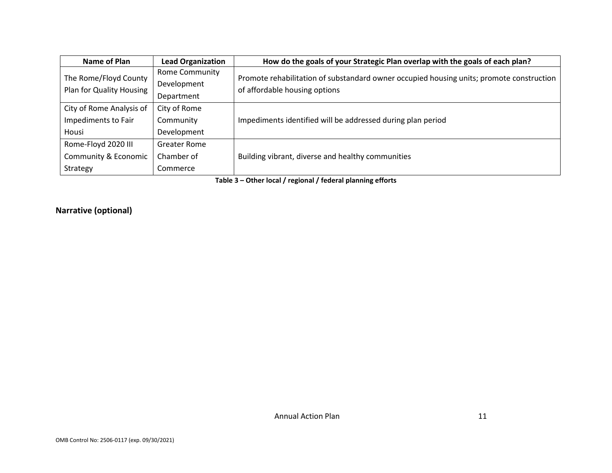| Name of Plan                                             | <b>Lead Organization</b>                      | How do the goals of your Strategic Plan overlap with the goals of each plan?                                              |
|----------------------------------------------------------|-----------------------------------------------|---------------------------------------------------------------------------------------------------------------------------|
| The Rome/Floyd County<br>Plan for Quality Housing        | Rome Community<br>Development<br>Department   | Promote rehabilitation of substandard owner occupied housing units; promote construction<br>of affordable housing options |
| City of Rome Analysis of<br>Impediments to Fair<br>Housi | City of Rome<br>Community<br>Development      | Impediments identified will be addressed during plan period                                                               |
| Rome-Floyd 2020 III<br>Community & Economic<br>Strategy  | <b>Greater Rome</b><br>Chamber of<br>Commerce | Building vibrant, diverse and healthy communities                                                                         |

**Table 3 – Other local / regional / federal planning efforts**

#### **Narrative (optional)**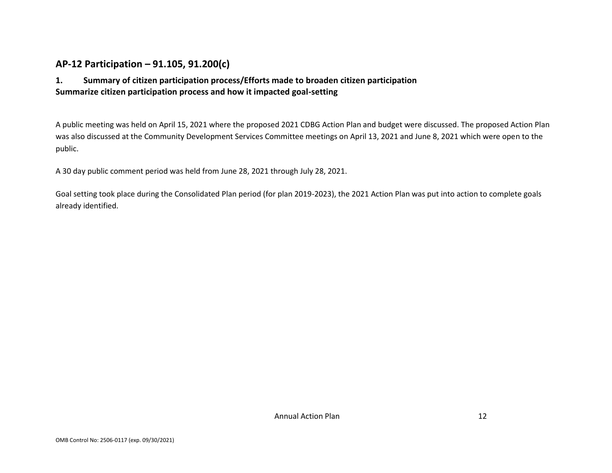### **AP-12 Participation – 91.105, 91.200(c)**

#### **1. Summary of citizen participation process/Efforts made to broaden citizen participation Summarize citizen participation process and how it impacted goal-setting**

A public meeting was held on April 15, 2021 where the proposed 2021 CDBG Action Plan and budget were discussed. The proposed Action Plan was also discussed at the Community Development Services Committee meetings on April 13, 2021 and June 8, 2021 which were open to the public.

A 30 day public comment period was held from June 28, 2021 through July 28, 2021.

Goal setting took place during the Consolidated Plan period (for plan 2019-2023), the 2021 Action Plan was put into action to complete goals already identified.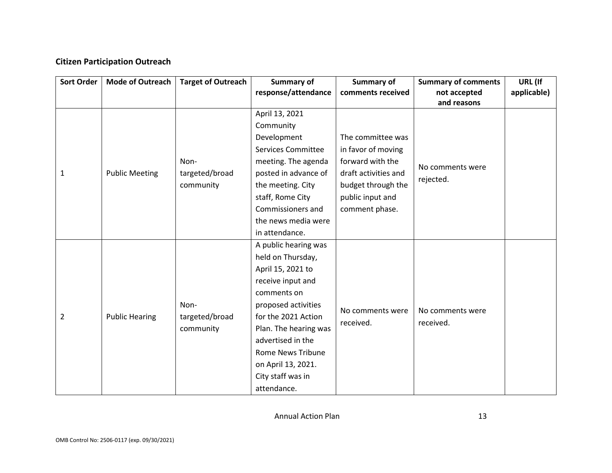#### **Citizen Participation Outreach**

| Sort Order | <b>Mode of Outreach</b> | <b>Target of Outreach</b> | Summary of                | Summary of           | <b>Summary of comments</b> | URL (If     |
|------------|-------------------------|---------------------------|---------------------------|----------------------|----------------------------|-------------|
|            |                         |                           | response/attendance       | comments received    | not accepted               | applicable) |
|            |                         |                           |                           |                      | and reasons                |             |
|            |                         |                           | April 13, 2021            |                      |                            |             |
|            |                         |                           | Community                 |                      |                            |             |
|            |                         |                           | Development               | The committee was    |                            |             |
|            |                         |                           | <b>Services Committee</b> | in favor of moving   |                            |             |
|            |                         | Non-                      | meeting. The agenda       | forward with the     | No comments were           |             |
| 1          | <b>Public Meeting</b>   | targeted/broad            | posted in advance of      | draft activities and | rejected.                  |             |
|            |                         | community                 | the meeting. City         | budget through the   |                            |             |
|            |                         |                           | staff, Rome City          | public input and     |                            |             |
|            |                         |                           | Commissioners and         | comment phase.       |                            |             |
|            |                         |                           | the news media were       |                      |                            |             |
|            |                         |                           | in attendance.            |                      |                            |             |
|            |                         |                           | A public hearing was      |                      |                            |             |
|            |                         |                           | held on Thursday,         |                      |                            |             |
|            |                         |                           | April 15, 2021 to         |                      |                            |             |
|            |                         |                           | receive input and         |                      |                            |             |
|            |                         |                           | comments on               |                      |                            |             |
|            |                         | Non-                      | proposed activities       |                      |                            |             |
| 2          | <b>Public Hearing</b>   | targeted/broad            | for the 2021 Action       | No comments were     | No comments were           |             |
|            |                         | community                 | Plan. The hearing was     | received.            | received.                  |             |
|            |                         |                           | advertised in the         |                      |                            |             |
|            |                         |                           | <b>Rome News Tribune</b>  |                      |                            |             |
|            |                         |                           | on April 13, 2021.        |                      |                            |             |
|            |                         |                           | City staff was in         |                      |                            |             |
|            |                         |                           | attendance.               |                      |                            |             |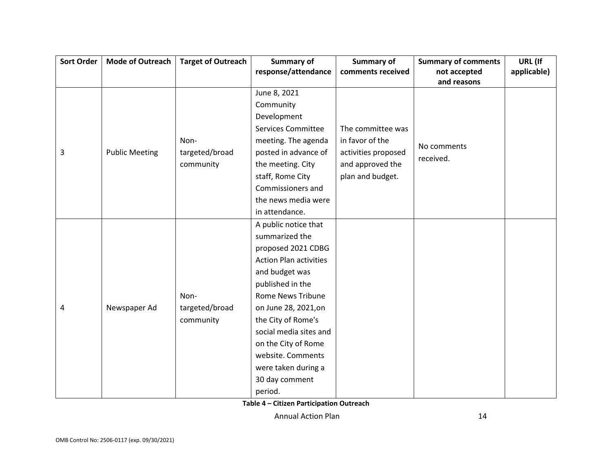| <b>Sort Order</b> | <b>Mode of Outreach</b> | <b>Target of Outreach</b> | Summary of                    | <b>Summary of</b>   | <b>Summary of comments</b> | URL (If     |
|-------------------|-------------------------|---------------------------|-------------------------------|---------------------|----------------------------|-------------|
|                   |                         |                           | response/attendance           | comments received   | not accepted               | applicable) |
|                   |                         |                           |                               |                     | and reasons                |             |
|                   |                         |                           | June 8, 2021                  |                     |                            |             |
|                   |                         |                           | Community                     |                     |                            |             |
|                   |                         |                           | Development                   |                     |                            |             |
|                   |                         |                           | <b>Services Committee</b>     | The committee was   |                            |             |
|                   |                         | Non-                      | meeting. The agenda           | in favor of the     | No comments                |             |
| 3                 | <b>Public Meeting</b>   | targeted/broad            | posted in advance of          | activities proposed | received.                  |             |
|                   |                         | community                 | the meeting. City             | and approved the    |                            |             |
|                   |                         |                           | staff, Rome City              | plan and budget.    |                            |             |
|                   |                         |                           | Commissioners and             |                     |                            |             |
|                   |                         |                           | the news media were           |                     |                            |             |
|                   |                         |                           | in attendance.                |                     |                            |             |
|                   |                         |                           | A public notice that          |                     |                            |             |
|                   |                         |                           | summarized the                |                     |                            |             |
|                   |                         |                           | proposed 2021 CDBG            |                     |                            |             |
|                   |                         |                           | <b>Action Plan activities</b> |                     |                            |             |
|                   |                         |                           | and budget was                |                     |                            |             |
|                   |                         |                           | published in the              |                     |                            |             |
|                   |                         | Non-                      | <b>Rome News Tribune</b>      |                     |                            |             |
| 4                 | Newspaper Ad            | targeted/broad            | on June 28, 2021, on          |                     |                            |             |
|                   |                         | community                 | the City of Rome's            |                     |                            |             |
|                   |                         |                           | social media sites and        |                     |                            |             |
|                   |                         |                           | on the City of Rome           |                     |                            |             |
|                   |                         |                           | website. Comments             |                     |                            |             |
|                   |                         |                           | were taken during a           |                     |                            |             |
|                   |                         |                           | 30 day comment                |                     |                            |             |
|                   |                         |                           | period.                       |                     |                            |             |

**Table 4 – Citizen Participation Outreach**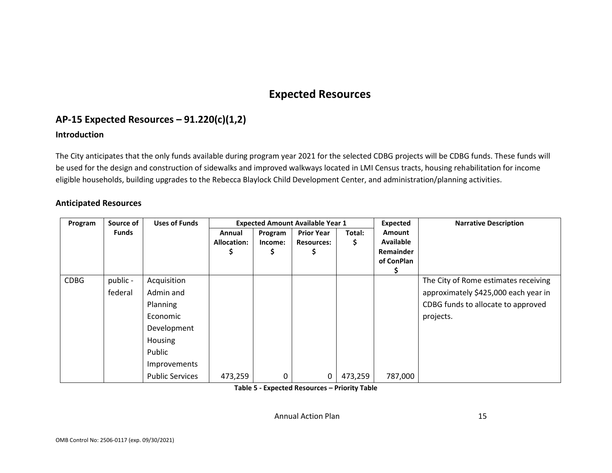## **Expected Resources**

## **AP-15 Expected Resources – 91.220(c)(1,2)**

#### **Introduction**

The City anticipates that the only funds available during program year 2021 for the selected CDBG projects will be CDBG funds. These funds will be used for the design and construction of sidewalks and improved walkways located in LMI Census tracts, housing rehabilitation for income eligible households, building upgrades to the Rebecca Blaylock Child Development Center, and administration/planning activities.

#### **Anticipated Resources**

| Program     | Source of    | <b>Uses of Funds</b>   |                    | <b>Expected Amount Available Year 1</b> |                   |         | <b>Expected</b>                | <b>Narrative Description</b>         |
|-------------|--------------|------------------------|--------------------|-----------------------------------------|-------------------|---------|--------------------------------|--------------------------------------|
|             | <b>Funds</b> |                        | Annual             | Program                                 | <b>Prior Year</b> | Total:  | Amount                         |                                      |
|             |              |                        | <b>Allocation:</b> | Income:                                 | <b>Resources:</b> | Ş       | <b>Available</b>               |                                      |
|             |              |                        |                    | Ş.                                      |                   |         | <b>Remainder</b><br>of ConPlan |                                      |
|             |              |                        |                    |                                         |                   |         |                                |                                      |
| <b>CDBG</b> | public -     | Acquisition            |                    |                                         |                   |         |                                | The City of Rome estimates receiving |
|             | federal      | Admin and              |                    |                                         |                   |         |                                | approximately \$425,000 each year in |
|             |              | Planning               |                    |                                         |                   |         |                                | CDBG funds to allocate to approved   |
|             |              | Economic               |                    |                                         |                   |         |                                | projects.                            |
|             |              | Development            |                    |                                         |                   |         |                                |                                      |
|             |              | Housing                |                    |                                         |                   |         |                                |                                      |
|             |              | Public                 |                    |                                         |                   |         |                                |                                      |
|             |              | Improvements           |                    |                                         |                   |         |                                |                                      |
|             |              | <b>Public Services</b> | 473,259            | 0                                       | 0                 | 473,259 | 787,000                        |                                      |

**Table 5 - Expected Resources – Priority Table**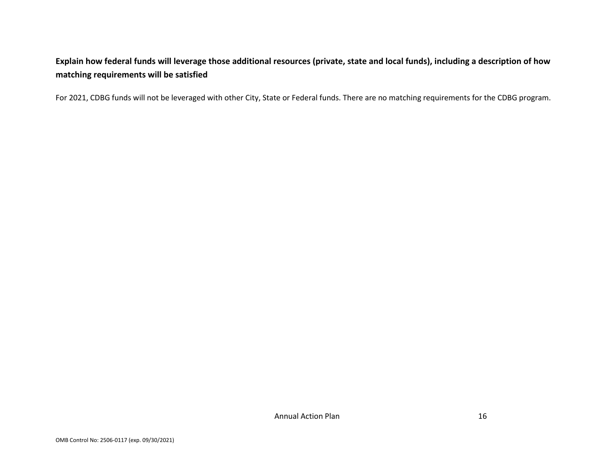## **Explain how federal funds will leverage those additional resources (private, state and local funds), including a description of how matching requirements will be satisfied**

For 2021, CDBG funds will not be leveraged with other City, State or Federal funds. There are no matching requirements for the CDBG program.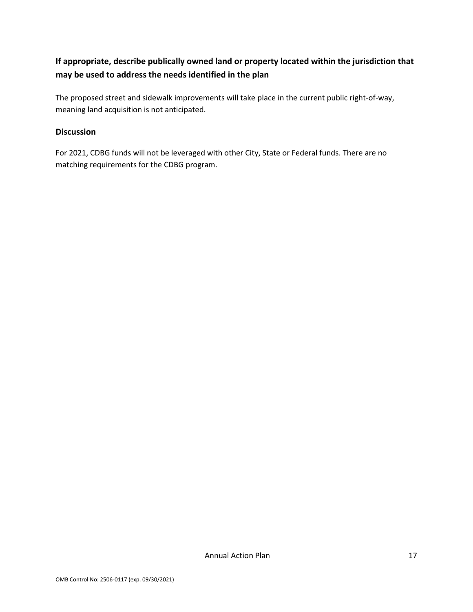### **If appropriate, describe publically owned land or property located within the jurisdiction that may be used to address the needs identified in the plan**

The proposed street and sidewalk improvements will take place in the current public right-of-way, meaning land acquisition is not anticipated.

#### **Discussion**

For 2021, CDBG funds will not be leveraged with other City, State or Federal funds. There are no matching requirements for the CDBG program.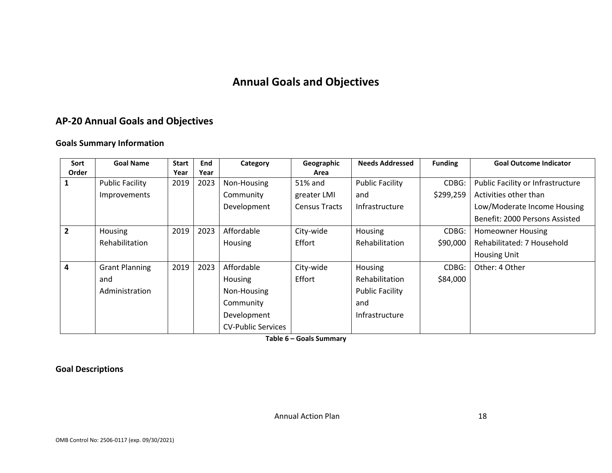## **Annual Goals and Objectives**

## **AP-20 Annual Goals and Objectives**

#### **Goals Summary Information**

| Sort           | <b>Goal Name</b>       | <b>Start</b> | End  | Category                  | Geographic           | <b>Needs Addressed</b> | <b>Funding</b> | <b>Goal Outcome Indicator</b>     |
|----------------|------------------------|--------------|------|---------------------------|----------------------|------------------------|----------------|-----------------------------------|
| Order          |                        | Year         | Year |                           | Area                 |                        |                |                                   |
|                | <b>Public Facility</b> | 2019         | 2023 | Non-Housing               | 51% and              | <b>Public Facility</b> | CDBG:          | Public Facility or Infrastructure |
|                | Improvements           |              |      | Community                 | greater LMI          | and                    | \$299,259      | Activities other than             |
|                |                        |              |      | Development               | <b>Census Tracts</b> | Infrastructure         |                | Low/Moderate Income Housing       |
|                |                        |              |      |                           |                      |                        |                | Benefit: 2000 Persons Assisted    |
| $\overline{2}$ | Housing                | 2019         | 2023 | Affordable                | City-wide            | Housing                | CDBG:          | <b>Homeowner Housing</b>          |
|                | Rehabilitation         |              |      | Housing                   | Effort               | <b>Rehabilitation</b>  | \$90,000       | Rehabilitated: 7 Household        |
|                |                        |              |      |                           |                      |                        |                | <b>Housing Unit</b>               |
| $\overline{4}$ | <b>Grant Planning</b>  | 2019         | 2023 | Affordable                | City-wide            | Housing                | CDBG:          | Other: 4 Other                    |
|                | and                    |              |      | Housing                   | Effort               | <b>Rehabilitation</b>  | \$84,000       |                                   |
|                | Administration         |              |      | Non-Housing               |                      | <b>Public Facility</b> |                |                                   |
|                |                        |              |      | Community                 |                      | and                    |                |                                   |
|                |                        |              |      | Development               |                      | Infrastructure         |                |                                   |
|                |                        |              |      | <b>CV-Public Services</b> |                      |                        |                |                                   |

**Table 6 – Goals Summary**

**Goal Descriptions**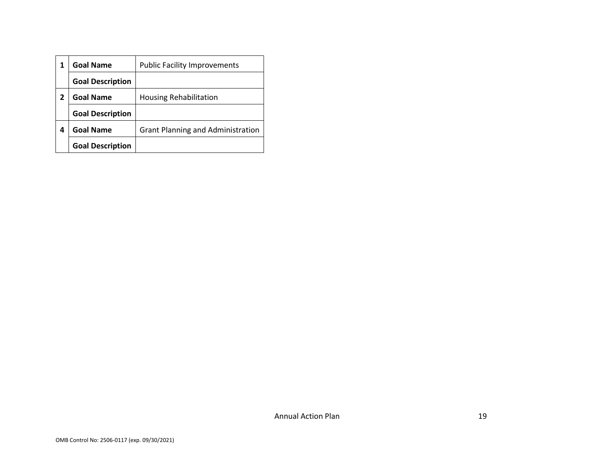|   | <b>Goal Name</b>        | <b>Public Facility Improvements</b>      |
|---|-------------------------|------------------------------------------|
|   | <b>Goal Description</b> |                                          |
|   | <b>Goal Name</b>        | <b>Housing Rehabilitation</b>            |
|   | <b>Goal Description</b> |                                          |
| 4 | <b>Goal Name</b>        | <b>Grant Planning and Administration</b> |
|   | <b>Goal Description</b> |                                          |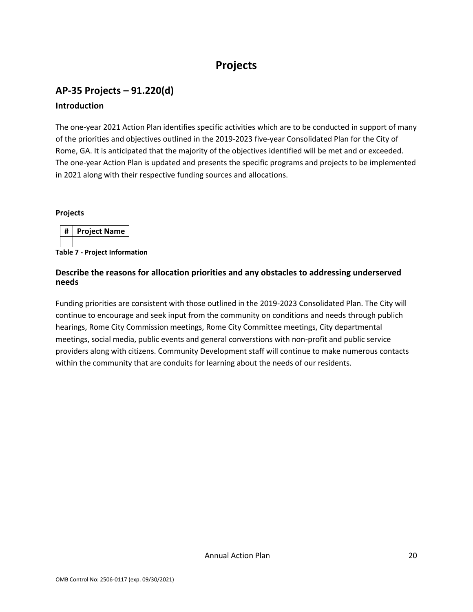## **Projects**

## **AP-35 Projects – 91.220(d) Introduction**

The one-year 2021 Action Plan identifies specific activities which are to be conducted in support of many of the priorities and objectives outlined in the 2019-2023 five-year Consolidated Plan for the City of Rome, GA. It is anticipated that the majority of the objectives identified will be met and or exceeded. The one-year Action Plan is updated and presents the specific programs and projects to be implemented in 2021 along with their respective funding sources and allocations.

#### **Projects**

| Ħ | <b>Project Name</b> |
|---|---------------------|
|   |                     |

**Table 7 - Project Information**

#### **Describe the reasons for allocation priorities and any obstacles to addressing underserved needs**

Funding priorities are consistent with those outlined in the 2019-2023 Consolidated Plan. The City will continue to encourage and seek input from the community on conditions and needs through publich hearings, Rome City Commission meetings, Rome City Committee meetings, City departmental meetings, social media, public events and general converstions with non-profit and public service providers along with citizens. Community Development staff will continue to make numerous contacts within the community that are conduits for learning about the needs of our residents.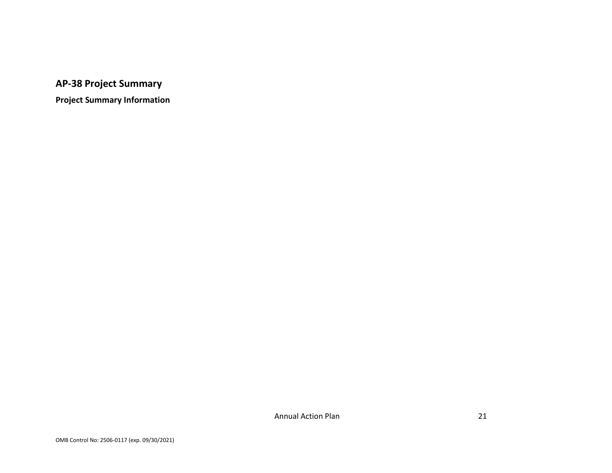## **AP-38 Project Summary**

**Project Summary Information**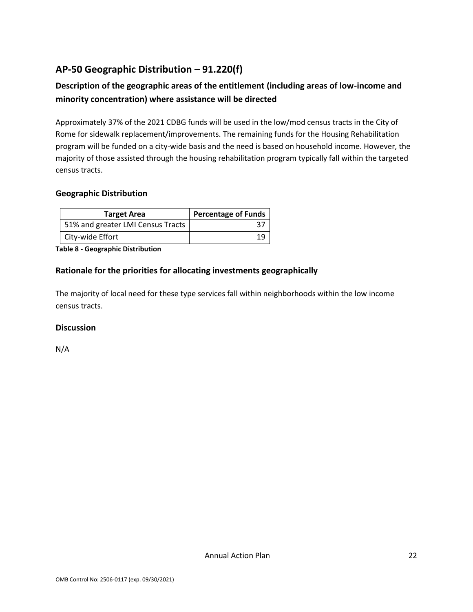## **AP-50 Geographic Distribution – 91.220(f)**

## **Description of the geographic areas of the entitlement (including areas of low-income and minority concentration) where assistance will be directed**

Approximately 37% of the 2021 CDBG funds will be used in the low/mod census tracts in the City of Rome for sidewalk replacement/improvements. The remaining funds for the Housing Rehabilitation program will be funded on a city-wide basis and the need is based on household income. However, the majority of those assisted through the housing rehabilitation program typically fall within the targeted census tracts.

#### **Geographic Distribution**

| <b>Target Area</b>                | <b>Percentage of Funds</b> |  |
|-----------------------------------|----------------------------|--|
| 51% and greater LMI Census Tracts |                            |  |
| City-wide Effort                  |                            |  |

#### **Table 8 - Geographic Distribution**

#### **Rationale for the priorities for allocating investments geographically**

The majority of local need for these type services fall within neighborhoods within the low income census tracts.

#### **Discussion**

N/A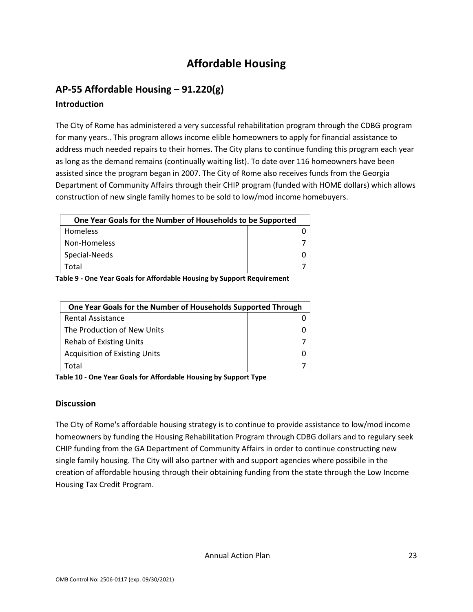## **Affordable Housing**

## **AP-55 Affordable Housing – 91.220(g)**

#### **Introduction**

The City of Rome has administered a very successful rehabilitation program through the CDBG program for many years.. This program allows income elible homeowners to apply for financial assistance to address much needed repairs to their homes. The City plans to continue funding this program each year as long as the demand remains (continually waiting list). To date over 116 homeowners have been assisted since the program began in 2007. The City of Rome also receives funds from the Georgia Department of Community Affairs through their CHIP program (funded with HOME dollars) which allows construction of new single family homes to be sold to low/mod income homebuyers.

| One Year Goals for the Number of Households to be Supported |  |  |
|-------------------------------------------------------------|--|--|
| <b>Homeless</b>                                             |  |  |
| Non-Homeless                                                |  |  |
| Special-Needs                                               |  |  |
| Total                                                       |  |  |
|                                                             |  |  |

**Table 9 - One Year Goals for Affordable Housing by Support Requirement**

| One Year Goals for the Number of Households Supported Through |  |  |
|---------------------------------------------------------------|--|--|
| <b>Rental Assistance</b>                                      |  |  |
| The Production of New Units                                   |  |  |
| Rehab of Existing Units                                       |  |  |
| <b>Acquisition of Existing Units</b>                          |  |  |
| Total                                                         |  |  |
|                                                               |  |  |

**Table 10 - One Year Goals for Affordable Housing by Support Type**

#### **Discussion**

The City of Rome's affordable housing strategy is to continue to provide assistance to low/mod income homeowners by funding the Housing Rehabilitation Program through CDBG dollars and to regulary seek CHIP funding from the GA Department of Community Affairs in order to continue constructing new single family housing. The City will also partner with and support agencies where possibile in the creation of affordable housing through their obtaining funding from the state through the Low Income Housing Tax Credit Program.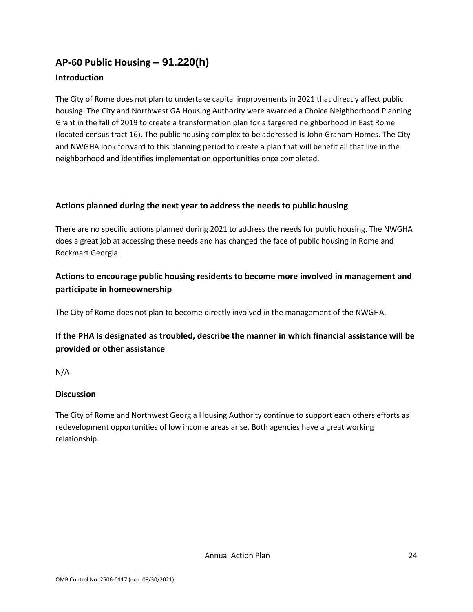# **AP-60 Public Housing** *–* **91.220(h)**

#### **Introduction**

The City of Rome does not plan to undertake capital improvements in 2021 that directly affect public housing. The City and Northwest GA Housing Authority were awarded a Choice Neighborhood Planning Grant in the fall of 2019 to create a transformation plan for a targered neighborhood in East Rome (located census tract 16). The public housing complex to be addressed is John Graham Homes. The City and NWGHA look forward to this planning period to create a plan that will benefit all that live in the neighborhood and identifies implementation opportunities once completed.

#### **Actions planned during the next year to address the needs to public housing**

There are no specific actions planned during 2021 to address the needs for public housing. The NWGHA does a great job at accessing these needs and has changed the face of public housing in Rome and Rockmart Georgia.

## **Actions to encourage public housing residents to become more involved in management and participate in homeownership**

The City of Rome does not plan to become directly involved in the management of the NWGHA.

## **If the PHA is designated as troubled, describe the manner in which financial assistance will be provided or other assistance**

N/A

#### **Discussion**

The City of Rome and Northwest Georgia Housing Authority continue to support each others efforts as redevelopment opportunities of low income areas arise. Both agencies have a great working relationship.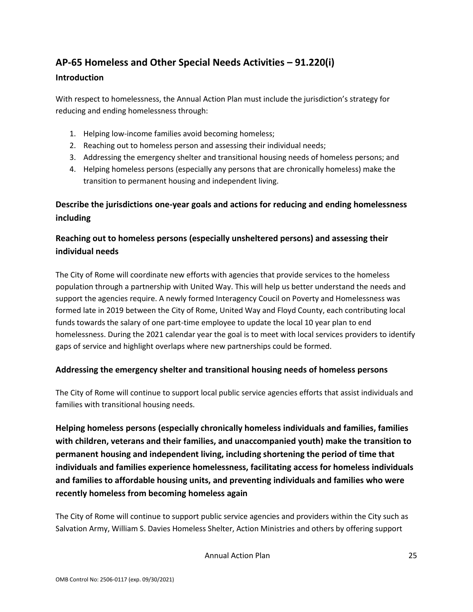## **AP-65 Homeless and Other Special Needs Activities – 91.220(i)**

#### **Introduction**

With respect to homelessness, the Annual Action Plan must include the jurisdiction's strategy for reducing and ending homelessness through:

- 1. Helping low-income families avoid becoming homeless;
- 2. Reaching out to homeless person and assessing their individual needs;
- 3. Addressing the emergency shelter and transitional housing needs of homeless persons; and
- 4. Helping homeless persons (especially any persons that are chronically homeless) make the transition to permanent housing and independent living.

## **Describe the jurisdictions one-year goals and actions for reducing and ending homelessness including**

## **Reaching out to homeless persons (especially unsheltered persons) and assessing their individual needs**

The City of Rome will coordinate new efforts with agencies that provide services to the homeless population through a partnership with United Way. This will help us better understand the needs and support the agencies require. A newly formed Interagency Coucil on Poverty and Homelessness was formed late in 2019 between the City of Rome, United Way and Floyd County, each contributing local funds towards the salary of one part-time employee to update the local 10 year plan to end homelessness. During the 2021 calendar year the goal is to meet with local services providers to identify gaps of service and highlight overlaps where new partnerships could be formed.

#### **Addressing the emergency shelter and transitional housing needs of homeless persons**

The City of Rome will continue to support local public service agencies efforts that assist individuals and families with transitional housing needs.

**Helping homeless persons (especially chronically homeless individuals and families, families with children, veterans and their families, and unaccompanied youth) make the transition to permanent housing and independent living, including shortening the period of time that individuals and families experience homelessness, facilitating access for homeless individuals and families to affordable housing units, and preventing individuals and families who were recently homeless from becoming homeless again**

The City of Rome will continue to support public service agencies and providers within the City such as Salvation Army, William S. Davies Homeless Shelter, Action Ministries and others by offering support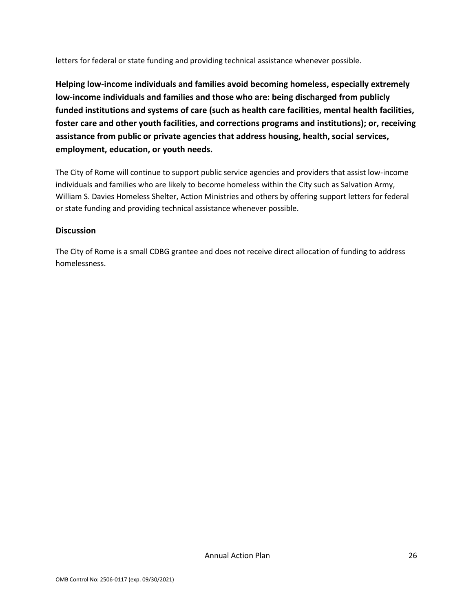letters for federal or state funding and providing technical assistance whenever possible.

**Helping low-income individuals and families avoid becoming homeless, especially extremely low-income individuals and families and those who are: being discharged from publicly funded institutions and systems of care (such as health care facilities, mental health facilities, foster care and other youth facilities, and corrections programs and institutions); or, receiving assistance from public or private agencies that address housing, health, social services, employment, education, or youth needs.**

The City of Rome will continue to support public service agencies and providers that assist low-income individuals and families who are likely to become homeless within the City such as Salvation Army, William S. Davies Homeless Shelter, Action Ministries and others by offering support letters for federal or state funding and providing technical assistance whenever possible.

#### **Discussion**

The City of Rome is a small CDBG grantee and does not receive direct allocation of funding to address homelessness.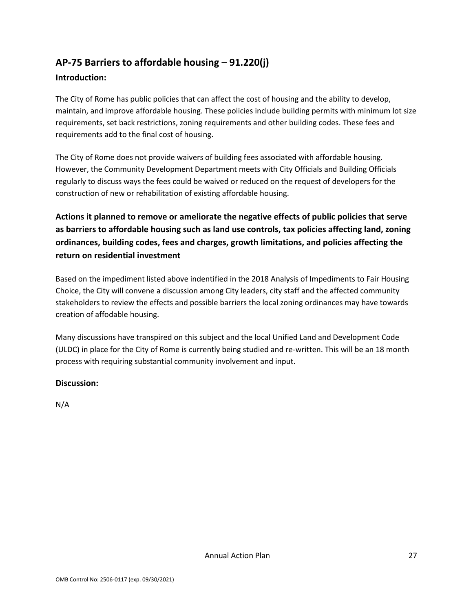## **AP-75 Barriers to affordable housing – 91.220(j)**

#### **Introduction:**

The City of Rome has public policies that can affect the cost of housing and the ability to develop, maintain, and improve affordable housing. These policies include building permits with minimum lot size requirements, set back restrictions, zoning requirements and other building codes. These fees and requirements add to the final cost of housing.

The City of Rome does not provide waivers of building fees associated with affordable housing. However, the Community Development Department meets with City Officials and Building Officials regularly to discuss ways the fees could be waived or reduced on the request of developers for the construction of new or rehabilitation of existing affordable housing.

**Actions it planned to remove or ameliorate the negative effects of public policies that serve as barriers to affordable housing such as land use controls, tax policies affecting land, zoning ordinances, building codes, fees and charges, growth limitations, and policies affecting the return on residential investment**

Based on the impediment listed above indentified in the 2018 Analysis of Impediments to Fair Housing Choice, the City will convene a discussion among City leaders, city staff and the affected community stakeholders to review the effects and possible barriers the local zoning ordinances may have towards creation of affodable housing.

Many discussions have transpired on this subject and the local Unified Land and Development Code (ULDC) in place for the City of Rome is currently being studied and re-written. This will be an 18 month process with requiring substantial community involvement and input.

#### **Discussion:**

N/A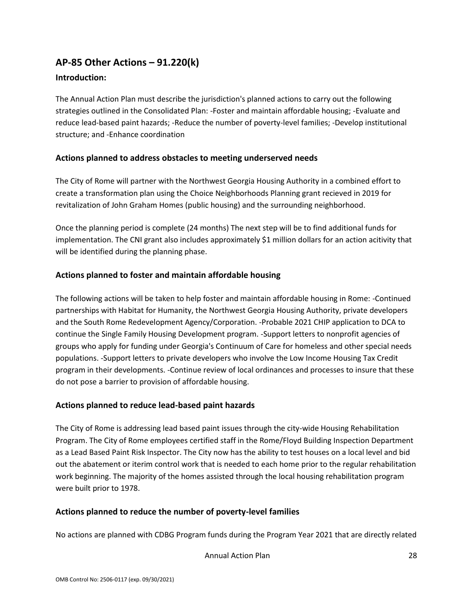## **AP-85 Other Actions – 91.220(k)**

#### **Introduction:**

The Annual Action Plan must describe the jurisdiction's planned actions to carry out the following strategies outlined in the Consolidated Plan: -Foster and maintain affordable housing; -Evaluate and reduce lead-based paint hazards; -Reduce the number of poverty-level families; -Develop institutional structure; and -Enhance coordination

#### **Actions planned to address obstacles to meeting underserved needs**

The City of Rome will partner with the Northwest Georgia Housing Authority in a combined effort to create a transformation plan using the Choice Neighborhoods Planning grant recieved in 2019 for revitalization of John Graham Homes (public housing) and the surrounding neighborhood.

Once the planning period is complete (24 months) The next step will be to find additional funds for implementation. The CNI grant also includes approximately \$1 million dollars for an action acitivity that will be identified during the planning phase.

#### **Actions planned to foster and maintain affordable housing**

The following actions will be taken to help foster and maintain affordable housing in Rome: -Continued partnerships with Habitat for Humanity, the Northwest Georgia Housing Authority, private developers and the South Rome Redevelopment Agency/Corporation. -Probable 2021 CHIP application to DCA to continue the Single Family Housing Development program. -Support letters to nonprofit agencies of groups who apply for funding under Georgia's Continuum of Care for homeless and other special needs populations. -Support letters to private developers who involve the Low Income Housing Tax Credit program in their developments. -Continue review of local ordinances and processes to insure that these do not pose a barrier to provision of affordable housing.

#### **Actions planned to reduce lead-based paint hazards**

The City of Rome is addressing lead based paint issues through the city-wide Housing Rehabilitation Program. The City of Rome employees certified staff in the Rome/Floyd Building Inspection Department as a Lead Based Paint Risk Inspector. The City now has the ability to test houses on a local level and bid out the abatement or iterim control work that is needed to each home prior to the regular rehabilitation work beginning. The majority of the homes assisted through the local housing rehabilitation program were built prior to 1978.

#### **Actions planned to reduce the number of poverty-level families**

No actions are planned with CDBG Program funds during the Program Year 2021 that are directly related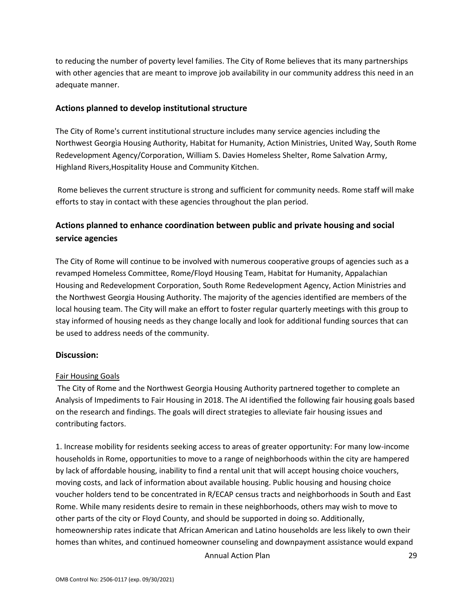to reducing the number of poverty level families. The City of Rome believes that its many partnerships with other agencies that are meant to improve job availability in our community address this need in an adequate manner.

#### **Actions planned to develop institutional structure**

The City of Rome's current institutional structure includes many service agencies including the Northwest Georgia Housing Authority, Habitat for Humanity, Action Ministries, United Way, South Rome Redevelopment Agency/Corporation, William S. Davies Homeless Shelter, Rome Salvation Army, Highland Rivers,Hospitality House and Community Kitchen.

Rome believes the current structure is strong and sufficient for community needs. Rome staff will make efforts to stay in contact with these agencies throughout the plan period.

### **Actions planned to enhance coordination between public and private housing and social service agencies**

The City of Rome will continue to be involved with numerous cooperative groups of agencies such as a revamped Homeless Committee, Rome/Floyd Housing Team, Habitat for Humanity, Appalachian Housing and Redevelopment Corporation, South Rome Redevelopment Agency, Action Ministries and the Northwest Georgia Housing Authority. The majority of the agencies identified are members of the local housing team. The City will make an effort to foster regular quarterly meetings with this group to stay informed of housing needs as they change locally and look for additional funding sources that can be used to address needs of the community.

#### **Discussion:**

#### Fair Housing Goals

The City of Rome and the Northwest Georgia Housing Authority partnered together to complete an Analysis of Impediments to Fair Housing in 2018. The AI identified the following fair housing goals based on the research and findings. The goals will direct strategies to alleviate fair housing issues and contributing factors.

1. Increase mobility for residents seeking access to areas of greater opportunity: For many low-income households in Rome, opportunities to move to a range of neighborhoods within the city are hampered by lack of affordable housing, inability to find a rental unit that will accept housing choice vouchers, moving costs, and lack of information about available housing. Public housing and housing choice voucher holders tend to be concentrated in R/ECAP census tracts and neighborhoods in South and East Rome. While many residents desire to remain in these neighborhoods, others may wish to move to other parts of the city or Floyd County, and should be supported in doing so. Additionally, homeownership rates indicate that African American and Latino households are less likely to own their homes than whites, and continued homeowner counseling and downpayment assistance would expand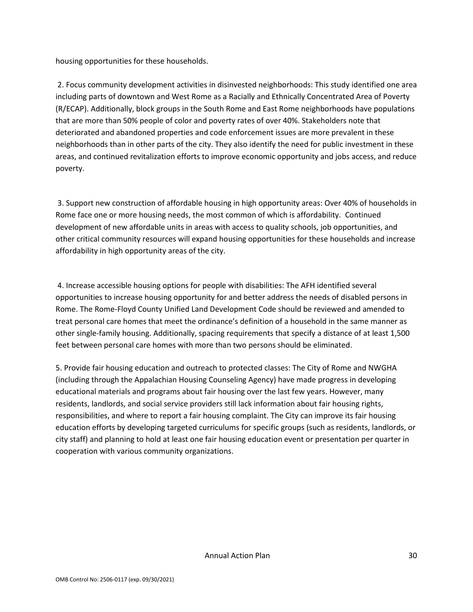housing opportunities for these households.

2. Focus community development activities in disinvested neighborhoods: This study identified one area including parts of downtown and West Rome as a Racially and Ethnically Concentrated Area of Poverty (R/ECAP). Additionally, block groups in the South Rome and East Rome neighborhoods have populations that are more than 50% people of color and poverty rates of over 40%. Stakeholders note that deteriorated and abandoned properties and code enforcement issues are more prevalent in these neighborhoods than in other parts of the city. They also identify the need for public investment in these areas, and continued revitalization efforts to improve economic opportunity and jobs access, and reduce poverty.

3. Support new construction of affordable housing in high opportunity areas: Over 40% of households in Rome face one or more housing needs, the most common of which is affordability. Continued development of new affordable units in areas with access to quality schools, job opportunities, and other critical community resources will expand housing opportunities for these households and increase affordability in high opportunity areas of the city.

4. Increase accessible housing options for people with disabilities: The AFH identified several opportunities to increase housing opportunity for and better address the needs of disabled persons in Rome. The Rome-Floyd County Unified Land Development Code should be reviewed and amended to treat personal care homes that meet the ordinance's definition of a household in the same manner as other single-family housing. Additionally, spacing requirements that specify a distance of at least 1,500 feet between personal care homes with more than two persons should be eliminated.

5. Provide fair housing education and outreach to protected classes: The City of Rome and NWGHA (including through the Appalachian Housing Counseling Agency) have made progress in developing educational materials and programs about fair housing over the last few years. However, many residents, landlords, and social service providers still lack information about fair housing rights, responsibilities, and where to report a fair housing complaint. The City can improve its fair housing education efforts by developing targeted curriculums for specific groups (such as residents, landlords, or city staff) and planning to hold at least one fair housing education event or presentation per quarter in cooperation with various community organizations.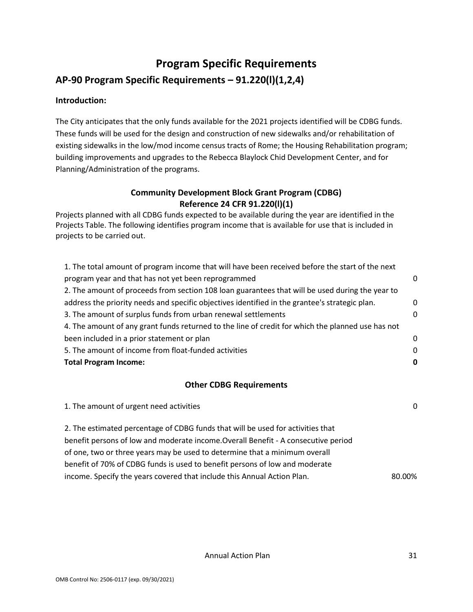## **Program Specific Requirements AP-90 Program Specific Requirements – 91.220(l)(1,2,4)**

#### **Introduction:**

The City anticipates that the only funds available for the 2021 projects identified will be CDBG funds. These funds will be used for the design and construction of new sidewalks and/or rehabilitation of existing sidewalks in the low/mod income census tracts of Rome; the Housing Rehabilitation program; building improvements and upgrades to the Rebecca Blaylock Chid Development Center, and for Planning/Administration of the programs.

#### **Community Development Block Grant Program (CDBG) Reference 24 CFR 91.220(l)(1)**

Projects planned with all CDBG funds expected to be available during the year are identified in the Projects Table. The following identifies program income that is available for use that is included in projects to be carried out.

| 1. The total amount of program income that will have been received before the start of the next   |          |
|---------------------------------------------------------------------------------------------------|----------|
| program year and that has not yet been reprogrammed                                               | $\Omega$ |
| 2. The amount of proceeds from section 108 loan guarantees that will be used during the year to   |          |
| address the priority needs and specific objectives identified in the grantee's strategic plan.    | $\Omega$ |
| 3. The amount of surplus funds from urban renewal settlements                                     | $\Omega$ |
| 4. The amount of any grant funds returned to the line of credit for which the planned use has not |          |
| been included in a prior statement or plan                                                        | $\Omega$ |
| 5. The amount of income from float-funded activities                                              | $\Omega$ |
| <b>Total Program Income:</b>                                                                      | 0        |
|                                                                                                   |          |

#### **Other CDBG Requirements**

| 1. The amount of urgent need activities                                            | 0      |
|------------------------------------------------------------------------------------|--------|
| 2. The estimated percentage of CDBG funds that will be used for activities that    |        |
| benefit persons of low and moderate income. Overall Benefit - A consecutive period |        |
| of one, two or three years may be used to determine that a minimum overall         |        |
| benefit of 70% of CDBG funds is used to benefit persons of low and moderate        |        |
| income. Specify the years covered that include this Annual Action Plan.            | 80.00% |